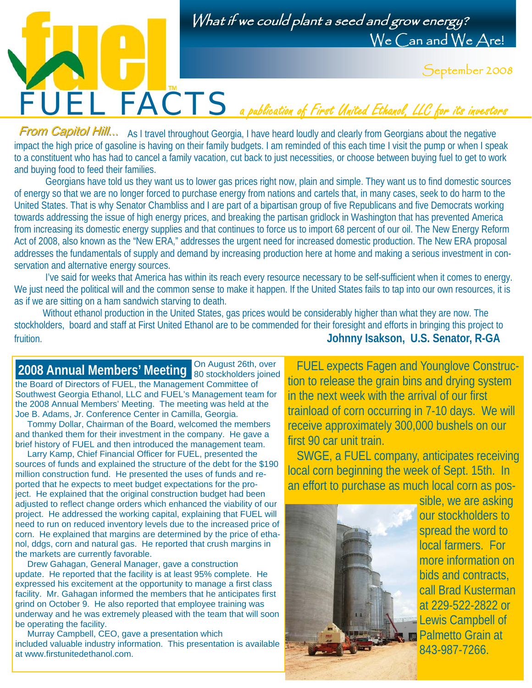

What if we could plant a seed and grow energy? We Can and We Are!

September 2008

From Capitol Hill... As I travel throughout Georgia, I have heard loudly and clearly from Georgians about the negative impact the high price of gasoline is having on their family budgets. I am reminded of this each time I visit the pump or when I speak to a constituent who has had to cancel a family vacation, cut back to just necessities, or choose between buying fuel to get to work and buying food to feed their families.

Georgians have told us they want us to lower gas prices right now, plain and simple. They want us to find domestic sources of energy so that we are no longer forced to purchase energy from nations and cartels that, in many cases, seek to do harm to the United States. That is why Senator Chambliss and I are part of a bipartisan group of five Republicans and five Democrats working towards addressing the issue of high energy prices, and breaking the partisan gridlock in Washington that has prevented America from increasing its domestic energy supplies and that continues to force us to import 68 percent of our oil. The New Energy Reform Act of 2008, also known as the "New ERA," addresses the urgent need for increased domestic production. The New ERA proposal addresses the fundamentals of supply and demand by increasing production here at home and making a serious investment in conservation and alternative energy sources.

I've said for weeks that America has within its reach every resource necessary to be self-sufficient when it comes to energy. We just need the political will and the common sense to make it happen. If the United States fails to tap into our own resources, it is as if we are sitting on a ham sandwich starving to death.

 Without ethanol production in the United States, gas prices would be considerably higher than what they are now. The stockholders, board and staff at First United Ethanol are to be commended for their foresight and efforts in bringing this project to fruition. **Johnny Isakson, U.S. Senator, R-GA** 

On August 26th, over the Board of Directors of FUEL, the Management Committee of Southwest Georgia Ethanol, LLC and FUEL's Management team for the 2008 Annual Members' Meeting. The meeting was held at the Joe B. Adams, Jr. Conference Center in Camilla, Georgia.

 Tommy Dollar, Chairman of the Board, welcomed the members and thanked them for their investment in the company. He gave a brief history of FUEL and then introduced the management team.

 Larry Kamp, Chief Financial Officer for FUEL, presented the sources of funds and explained the structure of the debt for the \$190 million construction fund. He presented the uses of funds and reported that he expects to meet budget expectations for the project. He explained that the original construction budget had been adjusted to reflect change orders which enhanced the viability of our project. He addressed the working capital, explaining that FUEL will need to run on reduced inventory levels due to the increased price of corn. He explained that margins are determined by the price of ethanol, ddgs, corn and natural gas. He reported that crush margins in the markets are currently favorable.

 Drew Gahagan, General Manager, gave a construction update. He reported that the facility is at least 95% complete. He expressed his excitement at the opportunity to manage a first class facility. Mr. Gahagan informed the members that he anticipates first grind on October 9. He also reported that employee training was underway and he was extremely pleased with the team that will soon be operating the facility.

 Murray Campbell, CEO, gave a presentation which included valuable industry information. This presentation is available at www.firstunitedethanol.com.

2008 Annual Members' Meeting on August 26th, over **FUEL expects Fagen and Younglove Construc**tion to release the grain bins and drying system in the next week with the arrival of our first trainload of corn occurring in 7-10 days. We will receive approximately 300,000 bushels on our

> SWGE, a FUEL company, anticipates receiving local corn beginning the week of Sept. 15th. In an effort to purchase as much local corn as pos-



first 90 car unit train.

sible, we are asking our stockholders to spread the word to local farmers. For more information on bids and contracts. call Brad Kusterman at 229-522-2822 or Lewis Campbell of Palmetto Grain at 843-987-7266.